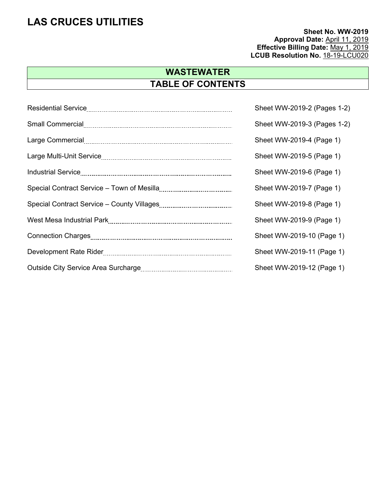**Sheet No. WW-2019 Approval Date:** April 11, 2019 **Effective Billing Date:** May 1, 2019  **LCUB Resolution No.** 18-19-LCU020

# **WASTEWATER TABLE OF CONTENTS**

| Sheet WW-2019-2 (Pages 1-2) |
|-----------------------------|
| Sheet WW-2019-3 (Pages 1-2) |
| Sheet WW-2019-4 (Page 1)    |
| Sheet WW-2019-5 (Page 1)    |
| Sheet WW-2019-6 (Page 1)    |
| Sheet WW-2019-7 (Page 1)    |
| Sheet WW-2019-8 (Page 1)    |
| Sheet WW-2019-9 (Page 1)    |
| Sheet WW-2019-10 (Page 1)   |
| Sheet WW-2019-11 (Page 1)   |
| Sheet WW-2019-12 (Page 1)   |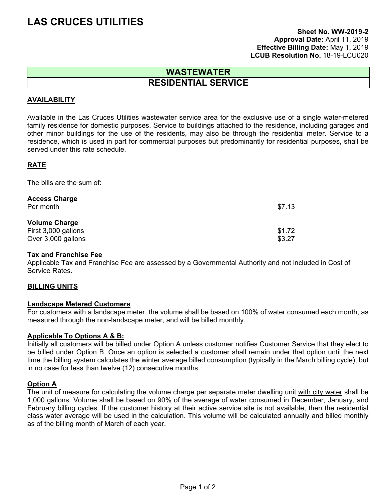#### **Sheet No. WW-2019-2 Approval Date:** April 11, 2019 **Effective Billing Date:** May 1, 2019 LCUB Resolution No. 18-19-LCU020

### **WASTEWATER RESIDENTIAL SERVICE**

#### **AVAILABILITY**

Available in the Las Cruces Utilities wastewater service area for the exclusive use of a single water-metered family residence for domestic purposes. Service to buildings attached to the residence, including garages and other minor buildings for the use of the residents, may also be through the residential meter. Service to a residence, which is used in part for commercial purposes but predominantly for residential purposes, shall be served under this rate schedule.

#### **RATE**

The bills are the sum of:

| <b>Access Charge</b><br>Per month                                 | \$7.13           |
|-------------------------------------------------------------------|------------------|
| <b>Volume Charge</b><br>First 3,000 gallons<br>Over 3,000 gallons | \$1.72<br>\$3.27 |

#### **Tax and Franchise Fee**

Applicable Tax and Franchise Fee are assessed by a Governmental Authority and not included in Cost of Service Rates.

#### **BILLING UNITS**

#### **Landscape Metered Customers**

For customers with a landscape meter, the volume shall be based on 100% of water consumed each month, as measured through the non-landscape meter, and will be billed monthly.

#### **Applicable To Options A & B:**

Initially all customers will be billed under Option A unless customer notifies Customer Service that they elect to be billed under Option B. Once an option is selected a customer shall remain under that option until the next time the billing system calculates the winter average billed consumption (typically in the March billing cycle), but in no case for less than twelve (12) consecutive months.

#### **Option A**

The unit of measure for calculating the volume charge per separate meter dwelling unit with city water shall be 1,000 gallons. Volume shall be based on 90% of the average of water consumed in December, January, and February billing cycles. If the customer history at their active service site is not available, then the residential class water average will be used in the calculation. This volume will be calculated annually and billed monthly as of the billing month of March of each year.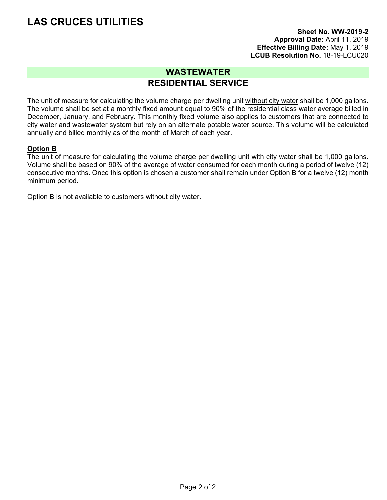#### **Sheet No. WW-2019-2 Approval Date:** April 11, 2019 **Effective Billing Date:** May 1, 2019 LCUB Resolution No. 18-19-LCU020

### **WASTEWATER RESIDENTIAL SERVICE**

The unit of measure for calculating the volume charge per dwelling unit without city water shall be 1,000 gallons. The volume shall be set at a monthly fixed amount equal to 90% of the residential class water average billed in December, January, and February. This monthly fixed volume also applies to customers that are connected to city water and wastewater system but rely on an alternate potable water source. This volume will be calculated annually and billed monthly as of the month of March of each year.

#### **Option B**

The unit of measure for calculating the volume charge per dwelling unit with city water shall be 1,000 gallons. Volume shall be based on 90% of the average of water consumed for each month during a period of twelve (12) consecutive months. Once this option is chosen a customer shall remain under Option B for a twelve (12) month minimum period.

Option B is not available to customers without city water.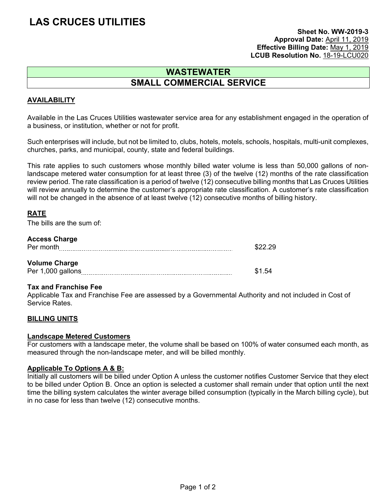#### **Sheet No. WW-2019-3 Approval Date:** April 11, 2019 **Effective Billing Date:** May 1, 2019 LCUB Resolution No. 18-19-LCU020

### **WASTEWATER SMALL COMMERCIAL SERVICE**

#### **AVAILABILITY**

Available in the Las Cruces Utilities wastewater service area for any establishment engaged in the operation of a business, or institution, whether or not for profit.

Such enterprises will include, but not be limited to, clubs, hotels, motels, schools, hospitals, multi-unit complexes, churches, parks, and municipal, county, state and federal buildings.

This rate applies to such customers whose monthly billed water volume is less than 50,000 gallons of nonlandscape metered water consumption for at least three (3) of the twelve (12) months of the rate classification review period. The rate classification is a period of twelve (12) consecutive billing months that Las Cruces Utilities will review annually to determine the customer's appropriate rate classification. A customer's rate classification will not be changed in the absence of at least twelve (12) consecutive months of billing history.

#### **RATE**

The bills are the sum of:

#### **Access Charge**

| Per month            | \$22.29 |
|----------------------|---------|
| <b>Volume Charge</b> |         |
|                      |         |
| Per 1,000 gallons    | \$1.54  |

#### **Tax and Franchise Fee**

Applicable Tax and Franchise Fee are assessed by a Governmental Authority and not included in Cost of Service Rates.

#### **BILLING UNITS**

#### **Landscape Metered Customers**

For customers with a landscape meter, the volume shall be based on 100% of water consumed each month, as measured through the non-landscape meter, and will be billed monthly.

#### **Applicable To Options A & B:**

Initially all customers will be billed under Option A unless the customer notifies Customer Service that they elect to be billed under Option B. Once an option is selected a customer shall remain under that option until the next time the billing system calculates the winter average billed consumption (typically in the March billing cycle), but in no case for less than twelve (12) consecutive months.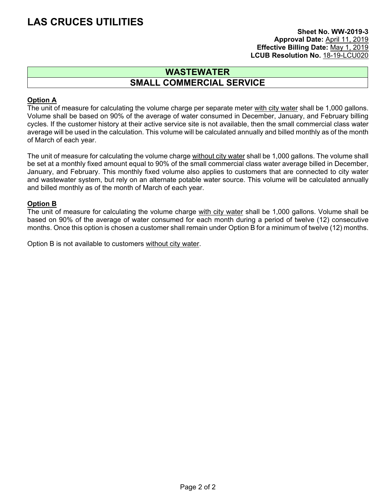#### **Sheet No. WW-2019-3 Approval Date:** April 11, 2019 **Effective Billing Date:** May 1, 2019 LCUB Resolution No. 18-19-LCU020

### **WASTEWATER SMALL COMMERCIAL SERVICE**

#### **Option A**

The unit of measure for calculating the volume charge per separate meter with city water shall be 1,000 gallons. Volume shall be based on 90% of the average of water consumed in December, January, and February billing cycles. If the customer history at their active service site is not available, then the small commercial class water average will be used in the calculation. This volume will be calculated annually and billed monthly as of the month of March of each year.

The unit of measure for calculating the volume charge without city water shall be 1,000 gallons. The volume shall be set at a monthly fixed amount equal to 90% of the small commercial class water average billed in December, January, and February. This monthly fixed volume also applies to customers that are connected to city water and wastewater system, but rely on an alternate potable water source. This volume will be calculated annually and billed monthly as of the month of March of each year.

#### **Option B**

The unit of measure for calculating the volume charge with city water shall be 1,000 gallons. Volume shall be based on 90% of the average of water consumed for each month during a period of twelve (12) consecutive months. Once this option is chosen a customer shall remain under Option B for a minimum of twelve (12) months.

Option B is not available to customers without city water.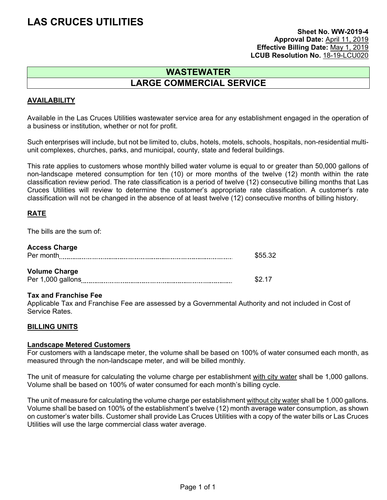#### **Sheet No. WW-2019-4 Approval Date:** April 11, 2019 **Effective Billing Date:** May 1, 2019 LCUB Resolution No. 18-19-LCU020

### **WASTEWATER LARGE COMMERCIAL SERVICE**

#### **AVAILABILITY**

Available in the Las Cruces Utilities wastewater service area for any establishment engaged in the operation of a business or institution, whether or not for profit.

Such enterprises will include, but not be limited to, clubs, hotels, motels, schools, hospitals, non-residential multiunit complexes, churches, parks, and municipal, county, state and federal buildings.

This rate applies to customers whose monthly billed water volume is equal to or greater than 50,000 gallons of non-landscape metered consumption for ten (10) or more months of the twelve (12) month within the rate classification review period. The rate classification is a period of twelve (12) consecutive billing months that Las Cruces Utilities will review to determine the customer's appropriate rate classification. A customer's rate classification will not be changed in the absence of at least twelve (12) consecutive months of billing history.

#### **RATE**

The bills are the sum of:

| <b>Access Charge</b> |         |
|----------------------|---------|
| Per month            | \$55.32 |
|                      |         |
| <b>Volume Charge</b> |         |
| Per 1,000 gallons    | \$2 17  |

#### **Tax and Franchise Fee**

Applicable Tax and Franchise Fee are assessed by a Governmental Authority and not included in Cost of Service Rates.

#### **BILLING UNITS**

#### **Landscape Metered Customers**

For customers with a landscape meter, the volume shall be based on 100% of water consumed each month, as measured through the non-landscape meter, and will be billed monthly.

The unit of measure for calculating the volume charge per establishment with city water shall be 1,000 gallons. Volume shall be based on 100% of water consumed for each month's billing cycle.

The unit of measure for calculating the volume charge per establishment without city water shall be 1,000 gallons. Volume shall be based on 100% of the establishment's twelve (12) month average water consumption, as shown on customer's water bills. Customer shall provide Las Cruces Utilities with a copy of the water bills or Las Cruces Utilities will use the large commercial class water average.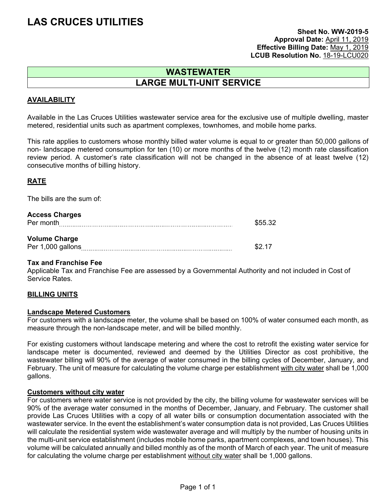#### **Sheet No. WW-2019-5 Approval Date:** April 11, 2019 **Effective Billing Date:** May 1, 2019 LCUB Resolution No. 18-19-LCU020

### **WASTEWATER LARGE MULTI-UNIT SERVICE**

#### **AVAILABILITY**

Available in the Las Cruces Utilities wastewater service area for the exclusive use of multiple dwelling, master metered, residential units such as apartment complexes, townhomes, and mobile home parks.

This rate applies to customers whose monthly billed water volume is equal to or greater than 50,000 gallons of non- landscape metered consumption for ten (10) or more months of the twelve (12) month rate classification review period. A customer's rate classification will not be changed in the absence of at least twelve (12) consecutive months of billing history.

#### **RATE**

The bills are the sum of:

| <b>Access Charges</b><br>Per month        |        |  |
|-------------------------------------------|--------|--|
| <b>Volume Charge</b><br>Per 1,000 gallons | -S2 17 |  |

#### **Tax and Franchise Fee**

Applicable Tax and Franchise Fee are assessed by a Governmental Authority and not included in Cost of Service Rates.

#### **BILLING UNITS**

#### **Landscape Metered Customers**

For customers with a landscape meter, the volume shall be based on 100% of water consumed each month, as measure through the non-landscape meter, and will be billed monthly.

For existing customers without landscape metering and where the cost to retrofit the existing water service for landscape meter is documented, reviewed and deemed by the Utilities Director as cost prohibitive, the wastewater billing will 90% of the average of water consumed in the billing cycles of December, January, and February. The unit of measure for calculating the volume charge per establishment with city water shall be 1,000 gallons.

#### **Customers without city water**

For customers where water service is not provided by the city, the billing volume for wastewater services will be 90% of the average water consumed in the months of December, January, and February. The customer shall provide Las Cruces Utilities with a copy of all water bills or consumption documentation associated with the wastewater service. In the event the establishment's water consumption data is not provided, Las Cruces Utilities will calculate the residential system wide wastewater average and will multiply by the number of housing units in the multi-unit service establishment (includes mobile home parks, apartment complexes, and town houses). This volume will be calculated annually and billed monthly as of the month of March of each year. The unit of measure for calculating the volume charge per establishment without city water shall be 1,000 gallons.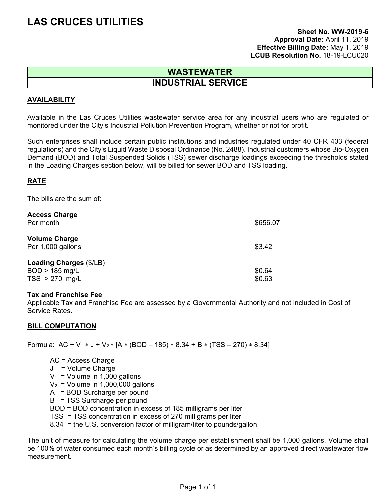#### **Sheet No. WW-2019-6 Approval Date:** April 11, 2019 **Effective Billing Date:** May 1, 2019 LCUB Resolution No. 18-19-LCU020

### **WASTEWATER INDUSTRIAL SERVICE**

#### **AVAILABILITY**

Available in the Las Cruces Utilities wastewater service area for any industrial users who are regulated or monitored under the City's Industrial Pollution Prevention Program, whether or not for profit.

Such enterprises shall include certain public institutions and industries regulated under 40 CFR 403 (federal regulations) and the City's Liquid Waste Disposal Ordinance (No. 2488). Industrial customers whose Bio-Oxygen Demand (BOD) and Total Suspended Solids (TSS) sewer discharge loadings exceeding the thresholds stated in the Loading Charges section below, will be billed for sewer BOD and TSS loading.

#### **RATE**

The bills are the sum of:

#### **Access Charge**

| Per month                                 | \$656.07 |
|-------------------------------------------|----------|
| <b>Volume Charge</b><br>Per 1,000 gallons | \$3.42   |
| Loading Charges (\$/LB)                   |          |
|                                           | \$0.64   |
| $TSS > 270$ mg/L                          | \$0.63   |

#### **Tax and Franchise Fee**

Applicable Tax and Franchise Fee are assessed by a Governmental Authority and not included in Cost of Service Rates.

#### **BILL COMPUTATION**

Formula:  $AC + V_1 * J + V_2 * [A * (BOD - 185) * 8.34 + B * (TSS - 270) * 8.34]$ 

 AC = Access Charge J = Volume Charge  $V_1$  = Volume in 1,000 gallons  $V_2$  = Volume in 1,000,000 gallons A = BOD Surcharge per pound B = TSS Surcharge per pound BOD = BOD concentration in excess of 185 milligrams per liter TSS = TSS concentration in excess of 270 milligrams per liter 8.34 = the U.S. conversion factor of milligram/liter to pounds/gallon

The unit of measure for calculating the volume charge per establishment shall be 1,000 gallons. Volume shall be 100% of water consumed each month's billing cycle or as determined by an approved direct wastewater flow measurement.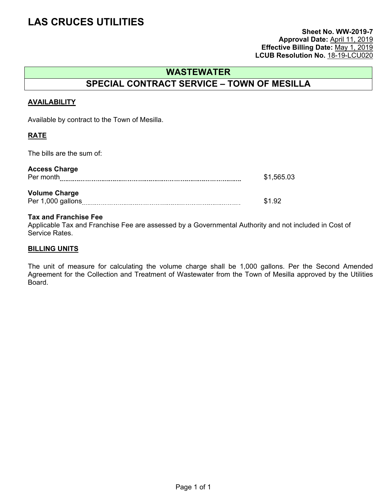#### **Sheet No. WW-2019-7 Approval Date:** April 11, 2019 **Effective Billing Date:** May 1, 2019 **LCUB Resolution No.** 18-19-LCU020

### **WASTEWATER**

## **SPECIAL CONTRACT SERVICE – TOWN OF MESILLA**

#### **AVAILABILITY**

Available by contract to the Town of Mesilla.

#### **RATE**

The bills are the sum of:

| <b>Access Charge</b><br>Per month         | \$1,565.03 |
|-------------------------------------------|------------|
| <b>Volume Charge</b><br>Per 1,000 gallons | \$1.92     |

#### **Tax and Franchise Fee**

Applicable Tax and Franchise Fee are assessed by a Governmental Authority and not included in Cost of Service Rates.

#### **BILLING UNITS**

The unit of measure for calculating the volume charge shall be 1,000 gallons. Per the Second Amended Agreement for the Collection and Treatment of Wastewater from the Town of Mesilla approved by the Utilities Board.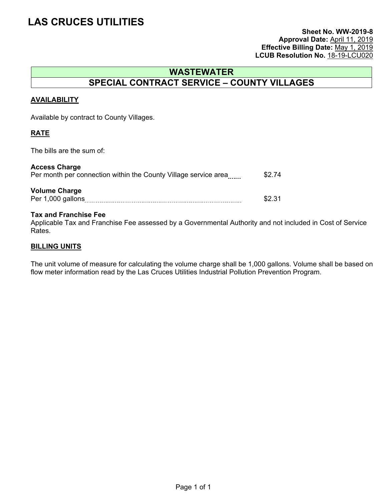#### **Sheet No. WW-2019-8 Approval Date:** April 11, 2019 **Effective Billing Date:** May 1, 2019 **LCUB Resolution No. 18-19-LCU020**

### **WASTEWATER SPECIAL CONTRACT SERVICE – COUNTY VILLAGES**

#### **AVAILABILITY**

Available by contract to County Villages.

#### **RATE**

The bills are the sum of:

| <b>Access Charge</b><br>Per month per connection within the County Village service area | \$2.74 |
|-----------------------------------------------------------------------------------------|--------|
| <b>Volume Charge</b><br>Per 1,000 gallons                                               | \$2.31 |

#### **Tax and Franchise Fee**

Applicable Tax and Franchise Fee assessed by a Governmental Authority and not included in Cost of Service Rates.

#### **BILLING UNITS**

The unit volume of measure for calculating the volume charge shall be 1,000 gallons. Volume shall be based on flow meter information read by the Las Cruces Utilities Industrial Pollution Prevention Program.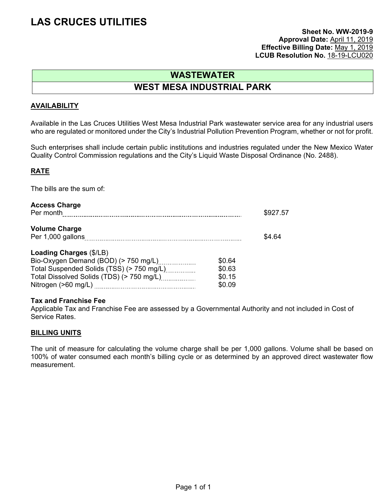#### **Sheet No. WW-2019-9 Approval Date:** April 11, 2019 **Effective Billing Date:** May 1, 2019 **LCUB Resolution No.** 18-19-LCU020

# **WASTEWATER**

### **WEST MESA INDUSTRIAL PARK**

#### **AVAILABILITY**

Available in the Las Cruces Utilities West Mesa Industrial Park wastewater service area for any industrial users who are regulated or monitored under the City's Industrial Pollution Prevention Program, whether or not for profit.

Such enterprises shall include certain public institutions and industries regulated under the New Mexico Water Quality Control Commission regulations and the City's Liquid Waste Disposal Ordinance (No. 2488).

#### **RATE**

The bills are the sum of:

| <b>Access Charge</b><br>Per month                                                                            | \$927.57         |        |
|--------------------------------------------------------------------------------------------------------------|------------------|--------|
| <b>Volume Charge</b>                                                                                         |                  | \$4.64 |
| Loading Charges (\$/LB)<br>Bio-Oxygen Demand (BOD) (> 750 mg/L)<br>Total Suspended Solids (TSS) (> 750 mg/L) | \$0.64<br>\$0.63 |        |
| Total Dissolved Solids (TDS) (> 750 mg/L)                                                                    | \$0.15<br>\$0.09 |        |

#### **Tax and Franchise Fee**

Applicable Tax and Franchise Fee are assessed by a Governmental Authority and not included in Cost of Service Rates.

#### **BILLING UNITS**

The unit of measure for calculating the volume charge shall be per 1,000 gallons. Volume shall be based on 100% of water consumed each month's billing cycle or as determined by an approved direct wastewater flow measurement.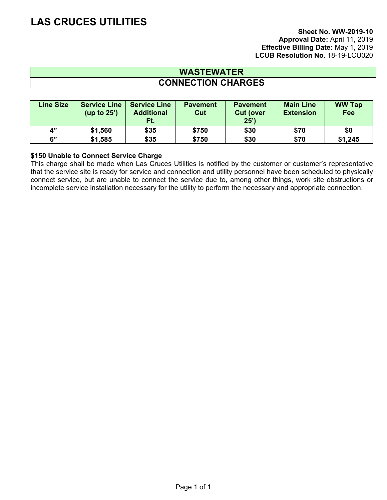#### **Sheet No. WW-2019-10 Approval Date:** April 11, 2019 **Effective Billing Date:** May 1, 2019 LCUB Resolution No. 18-19-LCU020

### **WASTEWATER CONNECTION CHARGES**

| <b>Line Size</b>            | <b>Service Line</b><br>(up to $25'$ ) | <b>Service Line</b><br><b>Additional</b><br>Ft. | <b>Pavement</b><br>Cut | <b>Pavement</b><br><b>Cut (over)</b><br>25' | <b>Main Line</b><br><b>Extension</b> | <b>WW Tap</b><br>Fee |
|-----------------------------|---------------------------------------|-------------------------------------------------|------------------------|---------------------------------------------|--------------------------------------|----------------------|
| $\mathbf{A}^{\prime\prime}$ | \$1,560                               | \$35                                            | \$750                  | \$30                                        | \$70                                 | \$0                  |
| 6"                          | \$1,585                               | \$35                                            | \$750                  | \$30                                        | \$70                                 | \$1,245              |

#### **\$150 Unable to Connect Service Charge**

This charge shall be made when Las Cruces Utilities is notified by the customer or customer's representative that the service site is ready for service and connection and utility personnel have been scheduled to physically connect service, but are unable to connect the service due to, among other things, work site obstructions or incomplete service installation necessary for the utility to perform the necessary and appropriate connection.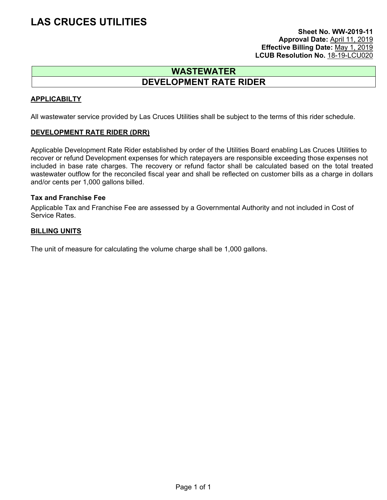#### **Sheet No. WW-2019-11 Approval Date:** April 11, 2019 **Effective Billing Date:** May 1, 2019 **LCUB Resolution No.** 18-19-LCU020

### **WASTEWATER DEVELOPMENT RATE RIDER**

#### **APPLICABILTY**

All wastewater service provided by Las Cruces Utilities shall be subject to the terms of this rider schedule.

#### **DEVELOPMENT RATE RIDER (DRR)**

Applicable Development Rate Rider established by order of the Utilities Board enabling Las Cruces Utilities to recover or refund Development expenses for which ratepayers are responsible exceeding those expenses not included in base rate charges. The recovery or refund factor shall be calculated based on the total treated wastewater outflow for the reconciled fiscal year and shall be reflected on customer bills as a charge in dollars and/or cents per 1,000 gallons billed.

#### **Tax and Franchise Fee**

Applicable Tax and Franchise Fee are assessed by a Governmental Authority and not included in Cost of Service Rates.

#### **BILLING UNITS**

The unit of measure for calculating the volume charge shall be 1,000 gallons.